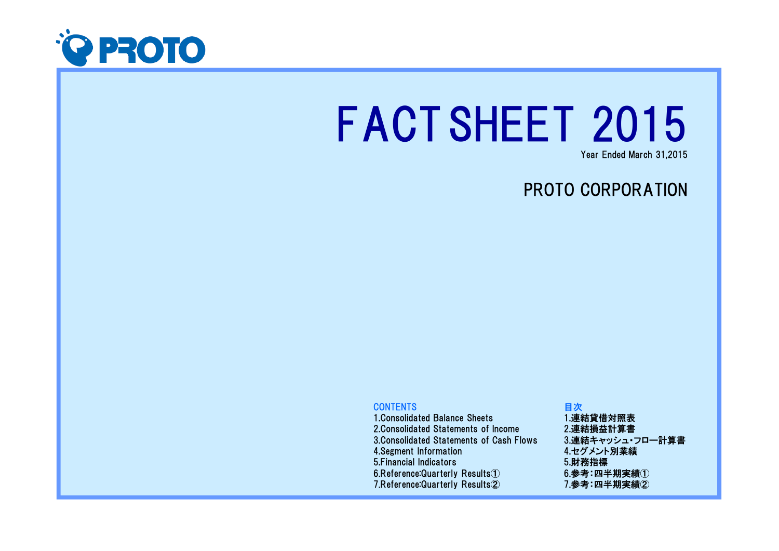

# FACTSHEET 2015

Year Ended March 31,2015

# PROTO CORPORATION

## **CONTENTS**

 1.Consolidated Balance Sheets 2.Consolidated Statements of Income 3.Consolidated Statements of Cash Flows4.Segment Information 5.Financial Indicators 6.Reference:Quarterly Results①7.Reference:Quarterly Results②

### 目次 1.連結貸借対照表 2.連結損益計算書 3.連結キャッシュ・フロー計算書4.セグメント別業績5.財務指標 $6.$ 参考:四半期実績 $(1)$ 7.参考:四半期実績②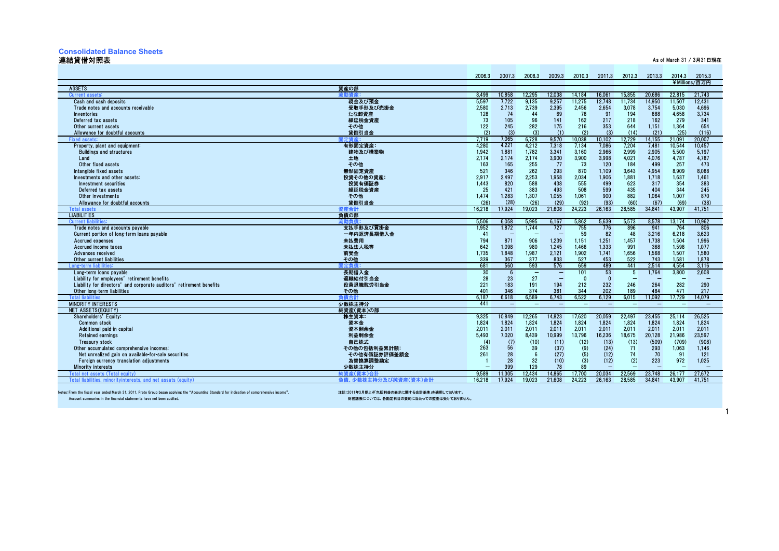#### **Consolidated Balance Sheets**

#### 連結貸借対照表

不是,他们的人们都会在这里,我们的人们都会在这里,我们的人们都会在这里,我们的人们都会在这里,我们的人们都会在这里,我们的人们都会在这里,我们的人们都会在这里,<br>第2011章 我们的人们都会在这里,我们的人们都会在这里,我们的人们都会在这里,我们的人们都会在这里,我们的人们都会在这里,我们的人们都会在这里,我们的人们都会

|                                                                                                                                              | 2006.3    | 2007.3  | 2008.3                   | 2009.3                   | 2010.3                   | 2011.3                   | 2012.3                   | 2013.3                   | 2014.3                   | 2015.3           |
|----------------------------------------------------------------------------------------------------------------------------------------------|-----------|---------|--------------------------|--------------------------|--------------------------|--------------------------|--------------------------|--------------------------|--------------------------|------------------|
|                                                                                                                                              |           |         |                          |                          |                          |                          |                          |                          |                          | ¥Millions/百万円    |
| <b>ASSETS</b><br>資産の部                                                                                                                        | 8.499     | 10.858  | 12.295                   | 12.038                   |                          | 16.061                   | 15.855                   |                          | 22.815                   |                  |
| Current assets:<br>現金及び預金<br>Cash and cash deposits                                                                                          | 5.597     | 7,722   | 9.135                    | 9,257                    | 14.184<br>11,275         | 12,748                   | 11,734                   | 20.686<br>14,950         | 11,507                   | 21.743<br>12.431 |
| 受取手形及び売掛金<br>Trade notes and accounts receivable                                                                                             | 2,580     | 2,713   | 2,739                    | 2,395                    | 2,456                    | 2,654                    | 3,078                    | 3,754                    | 5,030                    | 4,696            |
| たな卸資産<br>Inventories                                                                                                                         | 128       | 74      | 44                       | 69                       | 76                       | 91                       | 194                      | 688                      | 4,658                    | 3,734            |
| 繰延税金資産<br>Deferred tax assets                                                                                                                | 73        | 105     | 96                       | 141                      | 162                      | 217                      | 218                      | 162                      | 279                      | 341              |
| その他<br>Other current assets                                                                                                                  | 122       | 245     | 282                      | 175                      | 216                      | 353                      | 644                      | 1,151                    | 1,364                    | 654              |
| 貸倒引当金<br>Allowance for doubtful accounts                                                                                                     | (2)       | (3)     | (3)                      | (1)                      | (2)                      | (3)                      | (14)                     | (21)                     | (25)                     | (116)            |
| <b>Fixed assets</b><br>定資産                                                                                                                   | 7.719     | 7,065   | 6.728                    | 9.570                    | 10.038                   | 10.102                   | 12,729                   | 14.155                   | 21.091                   | 20,007           |
| Property, plant and equipment:<br>有形固定資産:                                                                                                    | 4.280     | 4,221   | 4.212                    | 7.318                    | 7.134                    | 7.086                    | 7.204                    | 7.481                    | 10.544                   | 10.457           |
| 建物及び構築物<br><b>Buildings and structures</b>                                                                                                   | 1,942     | 1,881   | 1,782                    | 3,341                    | 3,160                    | 2,966                    | 2,999                    | 2,905                    | 5,500                    | 5,197            |
| Land<br>土地                                                                                                                                   | 2.174     | 2.174   | 2,174                    | 3,900                    | 3.900                    | 3,998                    | 4,021                    | 4,076                    | 4,787                    | 4,787            |
| Other fixed assets<br>その他                                                                                                                    | 163       | 165     | 255                      | 77                       | 73                       | 120                      | 184                      | 499                      | 257                      | 473              |
| Intangible fixed assets<br>無形固定資産                                                                                                            | 521       | 346     | 262                      | 293                      | 870                      | 1.109                    | 3.643                    | 4.954                    | 8.909                    | 8.088            |
| 投資その他の資産:<br>Investments and other assets:                                                                                                   | 2.917     | 2.497   | 2,253                    | 1,958                    | 2,034                    | 1.906                    | 1,881                    | 1.718                    | 1.637                    | 1.461            |
| Investment securities<br>投資有価証券                                                                                                              | 1,443     | 820     | 588                      | 438                      | 555                      | 499                      | 623                      | 317                      | 354                      | 383              |
| 繰延税金資産<br>Deferred tax assets                                                                                                                | 25        | 421     | 383                      | 493                      | 508                      | 599                      | 435                      | 404                      | 344                      | 245              |
| その他<br>Other investments                                                                                                                     | 1,474     | 1,283   | 1,307                    | 1,055                    | 1.061                    | 900                      | 882                      | 1.064                    | 1.007                    | 870              |
| 貸倒引当金<br>Allowance for doubtful accounts                                                                                                     | (26)      | (28)    | (26)                     | (29)                     | (92)                     | (93)                     | (60)                     | (67)                     | (69)                     | (38)             |
| Total asset:<br>資産合計                                                                                                                         | 16.218    | 17.924  | 19.023                   | 21.608                   | 24.223                   | 26.163                   | 28.585                   | 34.841                   | 43.907                   | 41.751           |
| <b>LIABILITIES</b><br>負債の部                                                                                                                   |           |         |                          |                          |                          |                          |                          |                          |                          |                  |
| <b>Current liabilities:</b><br>流動負債                                                                                                          | 5.506     | 6,058   | 5,995                    | 6.167                    | 5.862                    | 5,639                    | 5,573                    | 8.578                    | 13.174                   | 10,962           |
| Trade notes and accounts payable<br>支払手形及び買掛金                                                                                                | 1,952     | 1,872   | 1,744                    | 727                      | 755                      | 776                      | 896                      | 941                      | 764                      | 806              |
| 一年内返済長期借入金<br>Current portion of long-term loans payable                                                                                     | 41        |         |                          |                          | 59                       | 82                       | 48                       | 3,216                    | 6,218                    | 3,623            |
| 未払費用<br>Accrued expenses                                                                                                                     | 794       | 871     | 906                      | 1,239                    | 1,151                    | 1,251                    | 1,457                    | 1,738                    | 1,504                    | 1,996            |
| 未払法人税等<br>Accrued income taxes                                                                                                               | 642       | 1.098   | 980                      | 1.245                    | 1.466                    | 1.333                    | 991                      | 368                      | 1.598                    | 1.077            |
| 前受金<br>Advances received                                                                                                                     | 1.735     | 1.848   | 1.987                    | 2.121                    | 1.902                    | 1.741                    | 1.656                    | 1.568                    | 1.507                    | 1.580            |
| その他<br>Other current liabilities                                                                                                             | 339       | 367     | 377                      | 833                      | 527                      | 453                      | 522                      | 743                      | 1.581                    | 1.878            |
| Long-term<br><b> 定負債</b>                                                                                                                     | 681       | 560     | 593                      | 576                      | 659                      | 489                      | 441                      | 2,514                    | 4,554                    | 3,116            |
| 長期借入金<br>Long-term loans payable                                                                                                             | 30        | 6<br>23 | $\overline{\phantom{0}}$ | $\qquad \qquad -$        | 101                      | 53<br>$\Omega$           | $\overline{5}$           | 1.764                    | 3.800                    | 2.608            |
| 退職給付引当金<br>Liability for employees' retirement benefits<br>Liability for directors' and corporate auditors' retirement benefits<br>役員退職慰労引当金 | 28<br>221 | 183     | 27<br>191                | $\qquad \qquad -$<br>194 | $\Omega$<br>212          | 232                      | 246                      | 264                      | 282                      | 290              |
| Other long-term liabilities<br>その他                                                                                                           | 401       | 346     | 374                      | 381                      | 344                      | 202                      | 189                      | 484                      | 471                      | 217              |
| <b>Total liabilities</b><br>負債合計                                                                                                             | 6.187     | 6.618   | 6.589                    | 6.743                    | 6.522                    | 6.129                    | 6.015                    | 11.092                   | 17.729                   | 14.079           |
| <b>MINORITY INTERESTS</b><br>少数株主持分                                                                                                          | 441       |         | $\overline{\phantom{0}}$ | $\qquad \qquad -$        | $\overline{\phantom{0}}$ | $\overline{\phantom{0}}$ | $\overline{\phantom{0}}$ | $\overline{\phantom{m}}$ | $\overline{\phantom{0}}$ |                  |
| NET ASSETS(EQUITY)<br>純資産(資本)の部                                                                                                              |           |         |                          |                          |                          |                          |                          |                          |                          |                  |
| Shareholders' Equity:<br>株主資本:                                                                                                               | 9,325     | 10,849  | 12,265                   | 14,823                   | 17.620                   | 20,059                   | 22,497                   | 23,455                   | 25,114                   | 26.525           |
| 資本金<br>Common stock                                                                                                                          | 1,824     | 1,824   | 1,824                    | 1,824                    | 1.824                    | 1,824                    | 1,824                    | 1,824                    | 1,824                    | 1,824            |
| 資本剰余金<br>Additional paid-in capital                                                                                                          | 2.011     | 2.011   | 2,011                    | 2,011                    | 2,011                    | 2,011                    | 2,011                    | 2.011                    | 2.011                    | 2.011            |
| <b>Retained earnings</b><br>利益剰余金                                                                                                            | 5.493     | 7.020   | 8.439                    | 10.999                   | 13.796                   | 16.236                   | 18.675                   | 20.128                   | 21.986                   | 23.597           |
| 自己株式<br><b>Treasury stock</b>                                                                                                                | (4)       | (7)     | (10)                     | (11)                     | (12)                     | (13)                     | (13)                     | (509)                    | (709)                    | (908)            |
| Other accumulated comprehensive incomes:<br>その他の包括利益累計額:                                                                                     | 263       | 56      | 39                       | (37)                     | (9)                      | (24)                     | 71                       | 293                      | 1.063                    | 1.146            |
| Net unrealized gain on available-for-sale securities<br>その他有価証券評価差額金                                                                         | 261       | 28      | $6\overline{6}$          | (27)                     | (5)                      | (12)                     | 74                       | 70                       | 91                       | 121              |
| Foreign currency translation adjustments<br>為替換算調整勘定                                                                                         |           | 28      | 32                       | (10)                     | (3)                      | (12)                     | (2)                      | 223                      | 972                      | 1.025            |
| 少数株主持分<br><b>Minority interests</b>                                                                                                          |           | 399     | 129                      | 78                       | 89                       |                          |                          |                          |                          |                  |
| Total net assets (Total equity)<br>純資産(資本)合                                                                                                  | 9.589     | 11.305  | 12.434                   | 14.865                   | 17.700                   | 20.034                   | 22,569                   | 23.748                   | 26.177                   | 27.672           |
| <b>真債、少数株主持分及び純資産(資本)合計</b><br>Total I<br>ities, minoritvinterests, and net assats (equity                                                   | 16.218    | 17.924  | 19.023                   | 21.608                   | 24.223                   | 26.163                   | 28.585                   | 34.841                   | 43.907                   | 41.751           |

Notes: From the fiscal year ended March 31, 2011, Proto Group began applying the "Accounting Standard for indication of comprehensive income". 注記:2011年3月期より「包括利益の表示に関する会計基準」を適用しております。<br>Account summaries

財務諸表については、各勘定科目の要約に当たっての監査は受けておりません。

1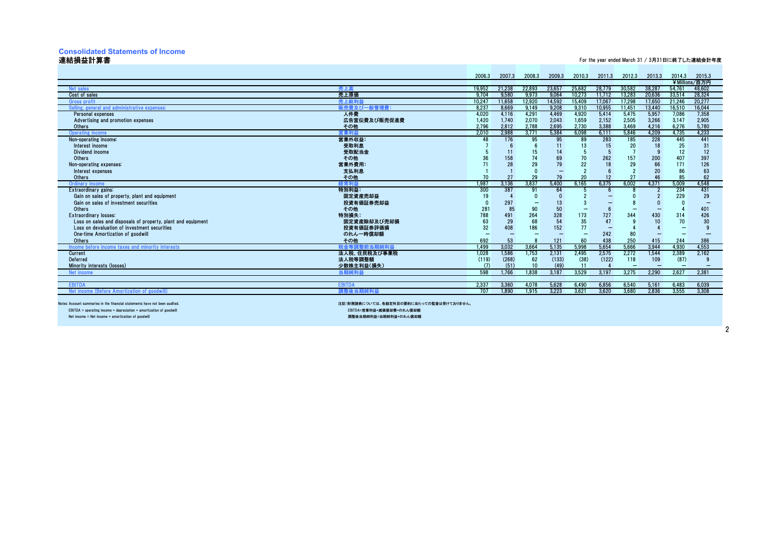#### **Consolidated Statements of Income**

#### 連結損益計算書

#### For the year ended March 31 / 3月31日に終了した連結会計年度

|                                                                             |                                         | 2006.3          | 2007.3 | 2008.3 | 2009.3 | 2010.3 | 2011.3 | 2012.3 | 2013.3  | 2014.3 | 2015.3        |
|-----------------------------------------------------------------------------|-----------------------------------------|-----------------|--------|--------|--------|--------|--------|--------|---------|--------|---------------|
|                                                                             |                                         |                 |        |        |        |        |        |        |         |        | ¥Millions/百万円 |
| Net sales                                                                   | 売上高                                     | 19,952          | 21,238 | 22,893 | 23,657 | 25,682 | 28,779 | 30,582 | 38,287  | 54,761 | 48,602        |
| Cost of sales                                                               | 売上原価                                    | 9.704           | 9.580  | 9,973  | 9,064  | 10.273 | 11.712 | 13.283 | 20,636  | 33.514 | 28,324        |
| Gross profi                                                                 | 売上総利#                                   | 10.247          | 11.658 | 12.920 | 14.592 | 15.409 | 17.067 | 17.298 | 17.650  | 21.246 | 20,277        |
| Selling, general and administrative expenses:                               | 販売費及び一般管理費:                             | 8.237           | 8.669  | 9.149  | 9,208  | 9,310  | 10,955 | 11,451 | 13,440  | 16.510 | 16,044        |
| Personal expenses                                                           | 人件費                                     | 4,020           | 4,116  | 4,291  | 4,469  | 4,920  | 5,414  | 5,475  | 5,957   | 7.086  | 7,358         |
| Advertising and promotion expenses                                          | 広告宣伝費及び販売促進費                            | 1.420           | 1.740  | 2.070  | 2.043  | 1.659  | 2.152  | 2,505  | 3.266   | 3.147  | 2.905         |
| <b>Others</b>                                                               | その他                                     | 2.796           | 2.812  | 2.788  | 2,695  | 2.730  | 3,388  | 3.469  | 4,216   | 6.276  | 5,780         |
| Operating income                                                            | 【掌利希                                    | 2.010           | 2.988  | 3.771  | 5.384  | 6.098  | 6.111  | 5.846  | 4.209   | 4.735  | 4.233         |
| Non-operating income:                                                       | 営業外収益:                                  | 48              | 176    | 95     | 95     | 89     | 283    | 185    | 228     | 445    | 441           |
| Interest income                                                             | 受取利息                                    |                 |        |        | 11     | 13     | 15     | 20     | 18      | 25     | 31            |
| Dividend income                                                             | 受取配当金                                   |                 | 11     | 15     | 14     |        |        |        | $\circ$ | 12     | 12            |
| Others                                                                      | その他                                     | 36              | 158    | 74     | 69     | 70     | 262    | 157    | 200     | 407    | 397           |
| Non-operating expenses:                                                     | 営業外費用:                                  |                 | 28     | 29     | 79     | 22     | 18     | 29     | 66      | 171    | 126           |
| Interest expenses                                                           | 支払利息                                    |                 |        |        | ۰      |        |        |        | 20      | 86     | 63            |
| <b>Others</b>                                                               | その他                                     | 70              | 27     | 29     | 79     | 20     | 12     | 27     | 46      | 85     | 62            |
| Ordinary income                                                             |                                         | 1.987           | 3.136  | 3,837  | 5,400  | 6,165  | 6,375  | 6,002  | 4,371   | 5,009  | 4,548         |
| Extraordinary gains:                                                        | 特別利益:                                   | 300             | 387    | 91     | 64     |        |        |        |         | 234    | 431           |
| Gain on sales of property, plant and equipment                              | 固定資産売却益                                 | 19              |        |        |        |        |        |        |         | 229    | 29            |
| Gain on sales of investment securities                                      | 投資有価証券売却益                               |                 | 297    |        | 13     |        |        |        |         |        |               |
| Others                                                                      | その他                                     | 28 <sup>°</sup> | 85     | 90     | 50     |        |        |        |         |        | 401           |
| Extraordinary losses:                                                       | 特別損失:                                   | 788             | 491    | 264    | 328    | 173    | 727    | 344    | 430     | 314    | 426           |
| Loss on sales and disposals of property, plant and equipment                | 固定資産除却及び売却損                             | 63              | 29     | 68     | 54     | 35     |        |        |         | 70     | 30            |
| Loss on devaluation of investment securities                                | 投資有価証券評価損                               | 32              | 408    | 186    | 152    | 77     |        |        |         |        | <b>g</b>      |
| One-time Amortization of goodwill                                           | のれん一時償却額                                |                 |        |        |        |        | 242    | 80     |         |        |               |
| <b>Others</b>                                                               | その他                                     | 692             | 53     |        | 121    | 60     | 438    | 250    | 415     | 244    | 386           |
| Income before income taxes and minority interests                           | 税金等調整前当期純利益                             | 1.499           | 3,032  | 3,664  | 5,135  | 5,998  | 5,654  | 5,666  | 3,944   | 4.930  | 4,553         |
| Current                                                                     | 法人税、住民税及び事業税                            | 1,028           | 1.586  | 1.753  | 2,131  | 2.495  | 2.575  | 2,272  | 1.544   | 2,389  | 2,162         |
| Deferred                                                                    | 法人税等調整額                                 | (119)           | (268)  | 62     | (133)  | (38)   | (122)  | 118    | 109     | (87)   | g             |
| Minority interests (losses)                                                 | 少数株主利益(損失)                              | (7)             | (51)   | 10     | (49)   | 11     |        |        |         |        |               |
| Net income                                                                  |                                         | 598             | 1.766  | 1.838  | 3.187  | 3.529  | 3.197  | 3.275  | 2.290   | 2.627  | 2.381         |
| <b>EBITD</b>                                                                | <b>EBITDA</b>                           | 2,337           | 3.360  | 4.078  | 5,628  | 6.490  | 6,856  | 6,540  | 5,161   | 6.483  | 6,039         |
| Net income (Before Amortization of goodwill                                 |                                         | 707             | 1.890  | 1.915  | 3,223  | 3,621  | 3,620  | 3,680  | 2,836   | 3,555  | 3,308         |
|                                                                             |                                         |                 |        |        |        |        |        |        |         |        |               |
| Notes: Account summaries in the financial statements have not been audited. | 注記:財務諸表については、各勘定科目の要約に当たっての監査は受けておりません。 |                 |        |        |        |        |        |        |         |        |               |
| $EBITDA = operating income + depreciation + amortization of good will$      | EBITDA=営業利益+減価償却費+のれん償却額                |                 |        |        |        |        |        |        |         |        |               |
| Net income = Net income + amortization of goodwill                          | 調整後当期練利益=当期練利益+のれん償却額                   |                 |        |        |        |        |        |        |         |        |               |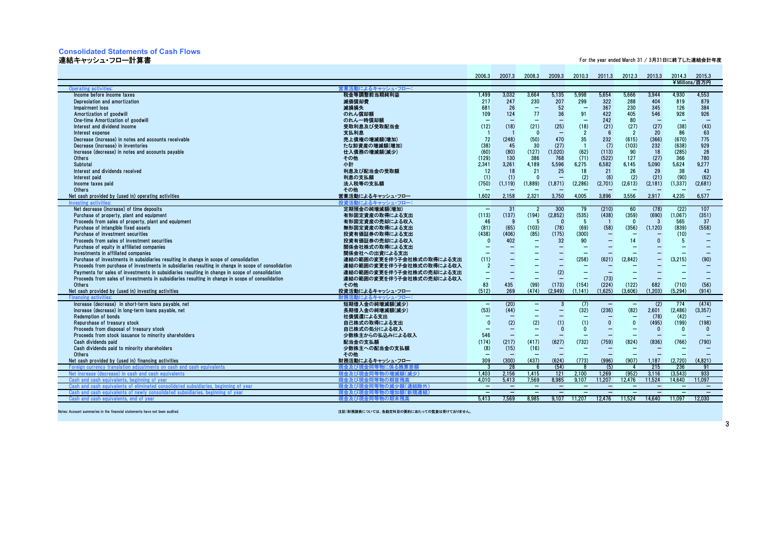#### **Consolidated Statements of Cash Flows**

#### 連結キャッシュ・フロー計算書

For the year ended March 31 / 3月31日に終了した連結会計年度

|                                                                                                            |                              | 2006.3                         | 2007.3                   | 2008.3                           | 2009.3                           | 2010.3                   | 2011.3                                               | 2012.3                            | 2013.3                   | 2014.3                   | 2015.3<br>¥Millions/百万円       |
|------------------------------------------------------------------------------------------------------------|------------------------------|--------------------------------|--------------------------|----------------------------------|----------------------------------|--------------------------|------------------------------------------------------|-----------------------------------|--------------------------|--------------------------|-------------------------------|
| Operating activities:                                                                                      | 営業活動によるキャッシュ・フロー:            |                                |                          |                                  |                                  |                          |                                                      |                                   |                          |                          |                               |
| Income before income taxes                                                                                 | 税金等調整前当期純利益                  | 1.499                          | 3.032                    | 3.664                            | 5.135                            | 5.998                    | 5.654                                                | 5.666                             | 3.944                    | 4.930                    | 4.553                         |
| Depreciation and amortization                                                                              | 減価償却費                        | 217                            | 247                      | 230                              | 207                              | 299                      | 322                                                  | 288                               | 404                      | 819                      | 879                           |
| Impairment loss                                                                                            | 減損損失                         | 681                            | 26                       | $\qquad \qquad -$                | 52                               | $\overline{\phantom{0}}$ | 367                                                  | 230                               | 345                      | 126                      | 384                           |
| Amortization of goodwill                                                                                   | のれん償却額                       | 109                            | 124                      | 77                               | 36                               | 91                       | 422                                                  | 405                               | 546                      | 928                      | 926                           |
| One-time Amortization of goodwill                                                                          | のれん一時償却額                     |                                |                          |                                  |                                  |                          | 242                                                  | 80                                |                          |                          |                               |
|                                                                                                            |                              | (12)                           |                          | (21)                             |                                  |                          | (21)                                                 | (27)                              | (27)                     |                          |                               |
| Interest and dividend income                                                                               | 受取利息及び受取配当金                  |                                | (18)                     | $\Omega$                         | (25)<br>$\overline{\phantom{0}}$ | (18)                     | 6                                                    | $\overline{2}$                    | 20                       | (38)<br>86               | (43)<br>63                    |
| Interest expense                                                                                           | 支払利息                         |                                |                          |                                  |                                  | $\overline{2}$           |                                                      |                                   |                          |                          |                               |
| Decrease (increase) in notes and accounts receivable                                                       | 売上債権の増減額(増加)                 | 72                             | (248)                    | (50)                             | 470                              | 35                       | 232                                                  | (615)                             | (366)                    | (670)                    | 775                           |
| Decrease (increase) in inventories                                                                         | たな卸資産の増減額(増加)                | (38)                           | 45                       | 30                               | (27)                             | $\overline{1}$           | (7)                                                  | (103)                             | 232                      | (638)                    | 929                           |
| Increase (decrease) in notes and accounts payable                                                          | 仕入債務の増減額(減少)                 | (60)                           | (80)                     | (127)                            | (1,020)                          | (62)                     | (113)                                                | 90                                | 18                       | (285)                    | 28                            |
| Others                                                                                                     | その他                          | (129)                          | 130                      | 386                              | 768                              | (71)                     | (522)                                                | 127                               | (27)                     | 366                      | 780                           |
| Subtotal                                                                                                   | 小計                           | 2.341                          | 3.261                    | 4.189                            | 5.596                            | 6.275                    | 6.582                                                | 6.145                             | 5.090                    | 5.624                    | 9.277                         |
| Interest and dividends received                                                                            | 利息及び配当金の受取額                  | 12                             | 18                       | 21                               | 25                               | 18                       | 21                                                   | 26                                | 29                       | 38                       | 43                            |
| Interest paid                                                                                              | 利息の支払額                       | (1)                            | (1)                      | $\Omega$                         |                                  | (2)                      | (6)                                                  | (2)                               | (21)                     | (90)                     | (62)                          |
| Income taxes paid                                                                                          | 法人税等の支払額                     | (750)                          | (1.119)                  | (1.889)                          | (1, 871)                         | (2.286)                  | (2,701)                                              | (2,613)                           | (2, 181)                 | (1, 337)                 | (2.681)                       |
| Others                                                                                                     | その他                          |                                |                          |                                  |                                  |                          |                                                      |                                   |                          |                          |                               |
| Net cash provided by (used in) operating activities                                                        | 営業活動によるキャッシュ・フロー             | 1.602                          | 2,158                    | 2,321                            | 3,750                            | 4.005                    | 3,896                                                | 3.556                             | 2.917                    | 4.235                    | 6.577                         |
| <b>Investing activit</b><br>Net decrease (increase) of time deposits                                       | 投資活動によるキャッシュ・フロー             | $\overline{\phantom{m}}$       | 31                       |                                  | 300                              | 79                       | (210)                                                | 60                                | (78)                     | (22)                     | 107                           |
|                                                                                                            | 定期預金の純増減額(増加)                | (113)                          | (137)                    | $\overline{2}$                   | (2,852)                          | (535)                    |                                                      |                                   |                          | (1.067)                  | (351)                         |
| Purchase of property, plant and equipment                                                                  | 有形固定資産の取得による支出               |                                | <b>q</b>                 | (194)<br>-5                      | $\Omega$                         |                          | (438)                                                | (359)<br>$\Omega$                 | (690)<br>-3              |                          |                               |
| Proceeds from sales of property, plant and equipment                                                       | 有形固定資産の売却による収入               | 46                             |                          |                                  |                                  | -5                       |                                                      |                                   |                          | 565                      | 37                            |
| Purchase of intangible fixed assets                                                                        | 無形固定資産の取得による支出               | (81)<br>(438)                  | (65)                     | (103)                            | (78)                             | (69)                     | (58)                                                 | (356)                             | (1, 120)                 | (839)                    | (558)                         |
| Purchase of investment securities                                                                          | 投資有価証券の取得による支出               | $\Omega$                       | (406)                    | (85)<br>$\equiv$                 | (175)<br>32                      | (300)                    | $\overline{\phantom{m}}$<br>$\overline{\phantom{0}}$ |                                   | $\mathbf{0}$             | (10)                     | $\qquad \qquad -$<br>$\equiv$ |
| Proceeds from sales of investment securities                                                               | 投資有価証券の売却による収入               |                                | 402                      |                                  |                                  | 90                       |                                                      | 14                                |                          | - 5                      |                               |
| Purchase of equity in affiliated companies                                                                 | 関係会社株式の取得による支出               | -                              |                          | $\overline{\phantom{0}}$         | $\overline{\phantom{0}}$         | $\overline{\phantom{0}}$ | $\overline{\phantom{0}}$                             | $\overline{\phantom{0}}$          | $\overline{\phantom{0}}$ | $\overline{\phantom{0}}$ | -                             |
| Investments in affiliated companies                                                                        | 関係会社への出資による支出                |                                |                          | $\overline{\phantom{0}}$         |                                  |                          |                                                      |                                   |                          |                          |                               |
| Purchase of investments in subsidiaries resulting in change in scope of consolidation                      | 連結の範囲の変更を伴う子会社株式の取得による支出     | (11)                           |                          | $\overline{\phantom{0}}$         | -                                | (258)                    | (621)                                                | (2.842)                           | -                        | (3,215)                  | (90)                          |
| Proceeds from purchase of investments in subsidiaries resulting in change in scope of consolidation        | 連結の範囲の変更を伴う子会社株式の取得による収入     | $\overline{2}$                 |                          |                                  |                                  |                          |                                                      |                                   |                          |                          |                               |
| Payments for sales of investments in subsidiaries resulting in change in scope of consolidation            | 連結の範囲の変更を伴う子会社株式の売却による支出     |                                | $\overline{\phantom{0}}$ | $\overline{\phantom{0}}$         | (2)                              |                          | (73)                                                 |                                   | $\overline{\phantom{0}}$ | $\overline{\phantom{0}}$ | $\overline{\phantom{0}}$      |
| Proceeds from sales of investments in subsidiaries resulting in change in scope of consolidation<br>Others | 連結の範囲の変更を伴う子会社株式の売却による収入     | $\overline{\phantom{m}}$<br>83 | 435                      | $\overline{\phantom{m}}$<br>(99) | $\qquad \qquad -$<br>(173)       | $\overline{\phantom{0}}$ | (224)                                                | $\overline{\phantom{0}}$<br>(122) | 682                      |                          | (56)                          |
| Net cash provided by (used in) investing activities                                                        | その他<br>投資活動によるキャッシュ・フロー      | (512)                          | 269                      | (474)                            | (2.949)                          | (154)<br>(1.141)         | (1.625)                                              | (3.606)                           | (1.203)                  | (710)<br>(5.294)         | (914)                         |
| <b>Financing activi</b>                                                                                    | 財務活動によるキャッシュ・フロ・             |                                |                          |                                  |                                  |                          |                                                      |                                   |                          |                          |                               |
| Increase (decrease) in short-term loans pavable, net                                                       | 短期借入金の純増減額(減少)               | $\overline{\phantom{a}}$       | (20)                     | -                                | 3                                | (7)                      | $\overline{\phantom{m}}$                             | $\qquad \qquad -$                 | (2)                      | 774                      | (474)                         |
| Increase (decrease) in long-term loans payable, net                                                        | 長期借入金の純増減額(減少)               | (53)                           | (44)                     | $\overline{\phantom{0}}$         | $\overline{\phantom{0}}$         | (32)                     | (236)                                                | (82)                              | 2,601                    | (2.486)                  | (3, 357)                      |
| Redemption of bonds                                                                                        | 社債償還による支出                    |                                |                          | $\overline{\phantom{0}}$         |                                  |                          |                                                      | $\overline{\phantom{0}}$          | (78)                     | (42)                     |                               |
| Repurchase of treasury stock                                                                               | 自己株式の取得による支出                 | $\Omega$                       | (2)                      | (2)                              | (1)                              | (1)                      | $\mathbf{0}$                                         | $\Omega$                          | (495)                    | (199)                    | (198)                         |
| Proceeds from disposal of treasury stock                                                                   | 自己株式の処分による収入                 | $\overline{\phantom{0}}$       | $\overline{\phantom{a}}$ | $\overline{\phantom{0}}$         | $\Omega$                         | $\Omega$                 |                                                      | ۰                                 | $\Omega$                 | $\mathbf{0}$             | $\mathbf{0}$                  |
| Proceeds from stock issuance to minority shareholders                                                      | 少数株主からの払込みによる収入              | 546                            | -                        | $\overline{\phantom{0}}$         |                                  |                          |                                                      |                                   |                          |                          |                               |
| Cash dividends paid                                                                                        | 配当金の支払額                      | (174)                          | (217)                    | (417)                            | (627)                            | (732)                    | (759)                                                | (824)                             | (836)                    | (766)                    | (790)                         |
| Cash dividends paid to minority shareholders                                                               | 少数株主への配当金の支払額                | (8)                            | (15)                     | (16)                             | $\qquad \qquad -$                |                          |                                                      |                                   |                          |                          |                               |
| Others                                                                                                     | その他                          | $\overline{\phantom{0}}$       | $\overline{\phantom{0}}$ | $\overline{\phantom{0}}$         | -                                | -                        | $\overline{\phantom{0}}$                             | $\overline{\phantom{0}}$          | $\overline{\phantom{0}}$ | $\overline{\phantom{0}}$ | -                             |
| Net cash provided by (used in) financing activities                                                        | 財務活動によるキャッシュ・フロー             | 309                            | (300)                    | (437)                            | (624)                            | (773)                    | (996)                                                | (907)                             | 1.187                    | (2.720)                  | (4, 821)                      |
| Foreign currency translation adjustments on cash and cash equivalents                                      | !金同等物に係る換算差<br>現金及び現         | $\mathbf{3}$                   | 28                       | - 6                              | (54)                             | -8                       | (5)                                                  | $\mathbf{A}$                      | 215                      | 236                      | 91                            |
| Net increase (decrease) in cash and cash equivalents                                                       | 現金及び現金同<br><b>「物の増減額(減少)</b> | 1.403                          | 2.156                    | 1.415                            | 121                              | 2.100                    | 1.269                                                | (952)                             | 3.116                    | (3.543)                  | 933                           |
| Cash and cash equivalents, beginning of yea                                                                | 現金及び現<br><b>F物の期首残る</b>      | 4.010                          | 5.413                    | 7,569                            | 8,985                            | 9.107                    | 11.207                                               | 12.476                            | 11,524                   | 14.640                   | 11.097                        |
| Cash and cash equivalents of eliminated consolidated subsidiaries, beginning of year                       | 現金及び現金同等物の減少額(連)<br>除外)      | $\qquad \qquad -$              | $\qquad \qquad -$        | $\qquad \qquad -$                | $-$                              | $\qquad \qquad -$        | $\qquad \qquad -$                                    | $\qquad \qquad -$                 | $\qquad \qquad -$        | $\qquad \qquad -$        | $\overline{\phantom{0}}$      |
| Cash and cash equivalents of newly conso<br>dated subsidiaries, beginning of vear                          | 現金及び現<br>иのt                 | $\qquad \qquad -$              | $\qquad \qquad -$        | $\qquad \qquad -$                | $\equiv$                         | $\overline{\phantom{a}}$ | $\overline{\phantom{m}}$                             | $\overline{\phantom{0}}$          | $\overline{\phantom{0}}$ | $\equiv$                 | $\qquad \qquad -$             |
| Cash and cash equivalents, end of year                                                                     | 現金及び現金同等物の期末残高               | 5.413                          | 7.569                    | 8.985                            | 9.107                            | 11.207                   | 12.476                                               | 11.524                            | 14.640                   | 11.097                   | 12.030                        |
|                                                                                                            |                              |                                |                          |                                  |                                  |                          |                                                      |                                   |                          |                          |                               |

Notes: Account summaries in the financial statements have not been audited.

注記:財務諸表については、各勘定科目の要約に当たっての監査は受けておりません。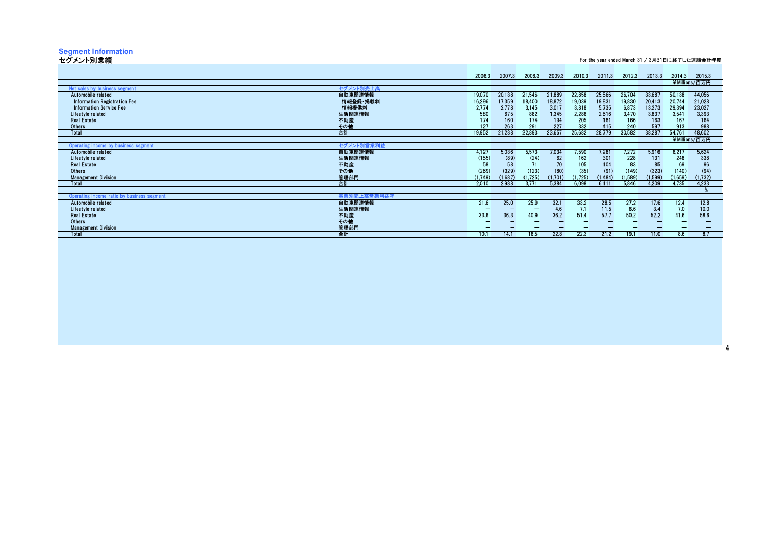# **Segment Information** セグメント別業績

For the year ended March 31 / 3月31日に終了した連結会計年度

|                                                           | 2006.3  | 2007.3  | 2008.3  | 2009.3  | 2010.3  | 2011.3   | 2012.3   | 2013.3   | 2014.3  | 2015.3        |
|-----------------------------------------------------------|---------|---------|---------|---------|---------|----------|----------|----------|---------|---------------|
|                                                           |         |         |         |         |         |          |          |          |         | ¥Millions/百万円 |
| <b>Vet sales by business segment</b><br>セグメント別売上高         |         |         |         |         |         |          |          |          |         |               |
| 自動車関連情報<br>Automobile-related                             | 19,070  | 20,138  | 21,546  | 21,889  | 22,858  | 25,566   | 26,704   | 33,687   | 50,138  | 44,056        |
| 情報登録·掲載料<br>Information Registration Fee                  | 16,296  | 17,359  | 18,400  | 18,872  | 19,039  | 19,831   | 19,830   | 20,413   | 20,744  | 21,028        |
| 情報提供料<br><b>Information Service Fee</b>                   | 2,774   | 2,778   | 3,145   | 3,017   | 3,818   | 5,735    | 6,873    | 13,273   | 29,394  | 23,027        |
| 生活関連情報<br>Lifestyle-related                               | 580     | 675     | 882     | 1,345   | 2,286   | 2,616    | 3,470    | 3,837    | 3,541   | 3,393         |
| <b>Real Estate</b><br>不動産                                 | 174     | 160     | 174     | 194     | 205     | 181      | 166      | 163      | 167     | 164           |
| その他<br>Others                                             | 127     | 263     | 291     | 227     | 332     | 415      | 240      | 597      | 913     | 988           |
| 合計<br>Total                                               | 19,952  | 21,238  | 22,893  | 23,657  | 25,682  | 28,779   | 30,582   | 38,287   | 54,761  | 48,602        |
|                                                           |         |         |         |         |         |          |          |          |         |               |
|                                                           |         |         |         |         |         |          |          |          |         | ¥Millions/百万円 |
| セグメント別営業利益<br>Operating income by business segment        |         |         |         |         |         |          |          |          |         |               |
| 自動車関連情報<br>Automobile-related                             | 4,127   | 5,036   | 5,573   | 7,034   | 7,590   | 7,281    | 7,272    | 5,916    | 6,217   | 5,624         |
| 生活関連情報<br>Lifestyle-related                               | (155)   | (89)    | (24)    | 62      | 162     | 301      | 228      | 131      | 248     | 338           |
| <b>Real Estate</b><br>不動産                                 | 58      | 58      | 71      | 70      | 105     | 104      | 83       | 85       | 69      | 96            |
| その他<br><b>Others</b>                                      | (269)   | (329)   | (123)   | (80)    | (35)    | (91)     | (149)    | (323)    | (140)   | (94)          |
| 管理部門<br><b>Management Division</b>                        | (1,749) | (1,687) | (1,725) | (1,701) | (1,725) | (1, 484) | (1, 589) | (1, 599) | (1,659) | (1,732)       |
| 合計<br>Total                                               | 2.010   | 2,988   | 3.771   | 5,384   | 6,098   | 6,111    | 5,846    | 4,209    | 4.735   | 4,233         |
|                                                           |         |         |         |         |         |          |          |          |         |               |
| 事業別売上高営業利益率<br>Operating income ratio by business segment |         |         |         |         |         |          |          |          |         |               |
| 自動車関連情報<br>Automobile-related                             | 21.6    | 25.0    | 25.9    | 32.1    | 33.2    | 28.5     | 27.2     | 17.6     | 12.4    | 12.8          |
| 生活関連情報<br>Lifestyle-related                               |         |         |         | 4.6     | 7.1     | 11.5     | 6.6      | 3.4      | 7.0     | 10.0          |
| <b>Real Estate</b><br>不動産                                 | 33.6    | 36.3    | 40.9    | 36.2    | 51.4    | 57.7     | 50.2     | 52.2     | 41.6    | 58.6          |
| その他<br><b>Others</b>                                      |         |         |         |         |         |          |          |          |         |               |
| 管理部門<br><b>Management Division</b>                        |         |         |         |         |         |          |          |          |         |               |
| 合計<br>Total                                               | 10.1    | 14.1    | 16.5    | 22.8    | 22.3    | 21.2     | 19.1     | 11.0     | 8.6     | 8.7           |
|                                                           |         |         |         |         |         |          |          |          |         |               |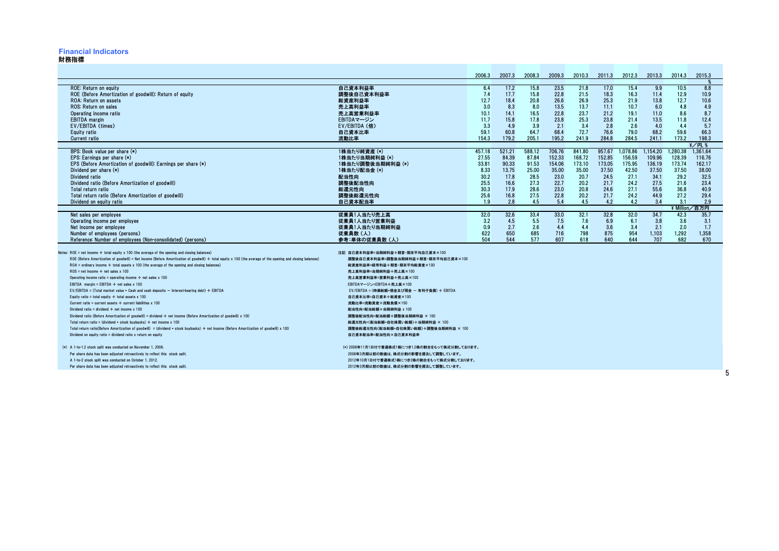#### **Financial Indicators**

#### 財務指標

|                                                                                                                                                                                                                                                                                                                                                                                                                                                                                                                                                                                                                                                                                                                                                                                                                                                                                                                                                                                                                                                                                                                                                                                                                                                                                                                                                                                                                                                                                                                                              |                                                                                                                                                                                                                                                                                                                                                                                                                                                                                                                                                                                                                           | 2006.3                                                                  | 2007.3                                                                   | 2008.3                                                                   | 2009.3                                                                     | 2010.3                                                                     | 2011.3                                                                     | 2012.3                                                                       | 2013.3                                                                       | 2014.3                                                                                     | 2015.3                                                                                                      |  |
|----------------------------------------------------------------------------------------------------------------------------------------------------------------------------------------------------------------------------------------------------------------------------------------------------------------------------------------------------------------------------------------------------------------------------------------------------------------------------------------------------------------------------------------------------------------------------------------------------------------------------------------------------------------------------------------------------------------------------------------------------------------------------------------------------------------------------------------------------------------------------------------------------------------------------------------------------------------------------------------------------------------------------------------------------------------------------------------------------------------------------------------------------------------------------------------------------------------------------------------------------------------------------------------------------------------------------------------------------------------------------------------------------------------------------------------------------------------------------------------------------------------------------------------------|---------------------------------------------------------------------------------------------------------------------------------------------------------------------------------------------------------------------------------------------------------------------------------------------------------------------------------------------------------------------------------------------------------------------------------------------------------------------------------------------------------------------------------------------------------------------------------------------------------------------------|-------------------------------------------------------------------------|--------------------------------------------------------------------------|--------------------------------------------------------------------------|----------------------------------------------------------------------------|----------------------------------------------------------------------------|----------------------------------------------------------------------------|------------------------------------------------------------------------------|------------------------------------------------------------------------------|--------------------------------------------------------------------------------------------|-------------------------------------------------------------------------------------------------------------|--|
| ROE: Return on equity<br>ROE (Before Amortization of goodwill): Return of equity<br><b>ROA: Return on assets</b><br>ROS: Return on sales<br>Operating income ratio<br><b>EBITDA</b> margin<br>EV/EBITDA (times)<br>Equity ratio<br><b>Current ratio</b>                                                                                                                                                                                                                                                                                                                                                                                                                                                                                                                                                                                                                                                                                                                                                                                                                                                                                                                                                                                                                                                                                                                                                                                                                                                                                      | 自己資本利益率<br>調整後自己資本利益率<br>総資産利益率<br>売上高利益率<br>売上高営業利益率<br>EBITDAマージン<br>EV/EBITDA (倍)<br>自己資本比率<br>流動比率                                                                                                                                                                                                                                                                                                                                                                                                                                                                                                                    | 6.4<br>7.4<br>12.7<br>3.0<br>10.1<br>11.7<br>3.3<br>59.1<br>154.3       | 17.2<br>17.7<br>18.4<br>8.3<br>14.1<br>15.8<br>4.9<br>60.8<br>179.2      | 15.8<br>15.8<br>20.8<br>8.0<br>16.5<br>17.8<br>3.9<br>64.7<br>205.1      | 23.5<br>22.8<br>26.6<br>13.5<br>22.8<br>23.8<br>2.1<br>68.4<br>195.2       | 21.8<br>21.5<br>26.9<br>13.7<br>23.7<br>25.3<br>3.4<br>72.7<br>241.9       | 17.0<br>18.3<br>25.3<br>11.1<br>21.2<br>23.8<br>2.8<br>76.6<br>284.8       | 15.4<br>16.3<br>21.9<br>10.7<br>19.1<br>21.4<br>2.6<br>79.0<br>284.5         | 9.9<br>11.4<br>13.8<br>6.0<br>11.0<br>13.5<br>4.0<br>68.2<br>241.1           | 10.5<br>12.9<br>12.7<br>4.8<br>8.6<br>11.8<br>4.4<br>59.6<br>173.2                         | 8.8<br>10.9<br>10.6<br>4.9<br>8.7<br>12.4<br>5.7<br>66.3<br>198.3                                           |  |
| BPS: Book value per share (*)<br>EPS: Earnings per share $(*)$<br>EPS (Before Amortization of goodwill): Earnings per share (*)<br>Dividend per share (*)<br>Dividend ratio<br>Dividend ratio (Before Amortization of goodwill)<br>Total return ratio<br>Total return ratio (Before Amortization of goodwill)<br>Dividend on equity ratio                                                                                                                                                                                                                                                                                                                                                                                                                                                                                                                                                                                                                                                                                                                                                                                                                                                                                                                                                                                                                                                                                                                                                                                                    | 1株当たり純資産(*)<br>1株当たり当期純利益 (*)<br>1株当たり調整後当期純利益 (*)<br>1株当たり配当金 (*)<br>配当性向<br>調整後配当性向<br>総還元性向<br>調整後総還元性向<br>自己資本配当率                                                                                                                                                                                                                                                                                                                                                                                                                                                                                                     | 457.18<br>27.55<br>33.81<br>8.33<br>30.2<br>25.5<br>30.3<br>25.6<br>1.9 | 521.21<br>84.39<br>90.33<br>13.75<br>17.8<br>16.6<br>17.9<br>16.8<br>2.8 | 588.12<br>87.84<br>91.53<br>25.00<br>28.5<br>27.3<br>28.6<br>27.5<br>4.5 | 706.76<br>152.33<br>154.06<br>35.00<br>23.0<br>22.7<br>23.0<br>22.8<br>5.4 | 841.80<br>168.72<br>173.10<br>35.00<br>20.7<br>20.2<br>20.8<br>20.2<br>4.5 | 957.67<br>152.85<br>173.05<br>37.50<br>24.5<br>21.7<br>24.6<br>21.7<br>4.2 | 1.078.86<br>156.59<br>175.95<br>42.50<br>27.1<br>24.2<br>27.1<br>24.2<br>4.2 | 1.154.20<br>109.96<br>136.19<br>37.50<br>34.1<br>27.5<br>55.6<br>44.9<br>3.4 | 1.280.38<br>128.39<br>173.74<br>37.50<br>29.2<br>21.6<br>36.8<br>27.2<br>3.1<br>¥ Million. | $\frac{2}{7}$ / 円. 9<br>1.361.64<br>116.76<br>162.17<br>38.00<br>32.5<br>23.4<br>40.9<br>29.4<br>2.9<br>百万円 |  |
| Net sales per employee<br>Operating income per employee<br>Net income per employee<br>Number of employees (persons)<br>Reference: Number of employees (Non-consolidated) (persons)                                                                                                                                                                                                                                                                                                                                                                                                                                                                                                                                                                                                                                                                                                                                                                                                                                                                                                                                                                                                                                                                                                                                                                                                                                                                                                                                                           | 従業員1人当たり売上高<br>従業員1人当たり営業利益<br>従業員1人当たり当期純利益<br>従業員数(人)<br>参考:単体の従業員数(人)                                                                                                                                                                                                                                                                                                                                                                                                                                                                                                                                                  | 32.0<br>3.2<br>0.9<br>622<br>504                                        | 32.6<br>4.5<br>2.7<br>650<br>544                                         | 33.4<br>5.5<br>2.6<br>685<br>577                                         | 33.0<br>7.5<br>4.4<br>716<br>607                                           | 32.1<br>7.6<br>4.4<br>798<br>618                                           | 32.8<br>6.9<br>3.6<br>875<br>640                                           | 32.0<br>6.1<br>3.4<br>954<br>644                                             | 34.7<br>3.8<br>2.1<br>1,103<br>707                                           | 42.3<br>3.6<br>2.0<br>1,292<br>682                                                         | 35.7<br>3.1<br>1.7<br>1,358<br>670                                                                          |  |
| Notes: $ROE = net income \div total equity \times 100$ (the average of the opening and closing balances)<br>ROE (Before Amortization of goodwill) = Net income (Before Amortization of goodwill) ÷ total equity x 100 (the average of the opening and closing balances)<br>$ROA =$ ordinary income $\div$ total assets x 100 (the average of the opening and closing balances)<br>$ROS = net income \div net sales \times 100$<br>Operating income ratio = operating income $\div$ net sales x 100<br>EBITDA margin = EBITDA $\div$ net sales x 100<br>EV/EBITDA = (Total market value + Cash and cash deposits $-$ Interest-bearing debt) $\div$ EBITDA<br>Equity ratio = total equity $\div$ total assets x 100<br>Current ratio = current assets $\div$ current liabilities x 100<br>Dividend ratio = dividend $\div$ net income x 100<br>Dividend ratio (Before Amortization of goodwill) = dividend ÷ net income (Before Amortization of goodwill) x 100<br>Total return ratio = (dividend + stock buybacks) $\div$ net income x 100<br>Total return ratio(Before Amortization of goodwill) = (dividend + stock buybacks) ÷ net income (Before Amortization of goodwill) x 100<br>Dividend on equity ratio = dividend ratio $x$ return on equity<br>(*) A 1-to-1.2 stock split was conducted on November 1, 2006.<br>Per share data has been adjusted retroactively to reflect this stock split<br>A 1-to-2 stock split was conducted on October 1, 2012.<br>Per share data has been adjusted retroactively to reflect this stock split | 注記 自己資本利益率=当期純利益÷期首·期末平均自己資本×100<br>調整後自己資本利益率=調整後当期純利益÷期首·期末平均自己資本×100<br>総資産利益率=経常利益÷期首·期末平均総資産×100<br>売上高利益率=当期純利益÷売上高×100<br>売上高営業利益率=営業利益÷売上高×100<br>EBITDAマージン=EBITDA÷売上高×100<br>EV/EBITDA = (時価総額+現金及び預金 ー 有利子負債) ÷ EBITDA<br>自己資本比率=自己資本÷総資産×100<br>流動比率=流動資産÷流動負債×100<br>配当性向=配当総額÷当期純利益 x 100<br>調整後配当性向=配当総額÷調整後当期純利益 × 100<br>総還元性向=(配当総額+自社株買い総額)÷当期純利益 × 100<br>調整後総還元性向(配当総額+自社株買い総額)÷調整後当期純利益 × 100<br>自己資本配当率=配当性向×自己資本利益率<br>(*) 2006年11月1日付で普通株式1株につき1.2株の割合をもって株式分割しております。<br>2006年3月期以前の数値は、株式分割の影響を遡及して調整しています。<br>2012年10月1日付で普通株式1株につき2株の割合をもって株式分割しております。<br>2012年3月期以前の数値は、株式分割の影響を遡及して調整しています。 |                                                                         |                                                                          |                                                                          |                                                                            |                                                                            |                                                                            |                                                                              |                                                                              |                                                                                            |                                                                                                             |  |

5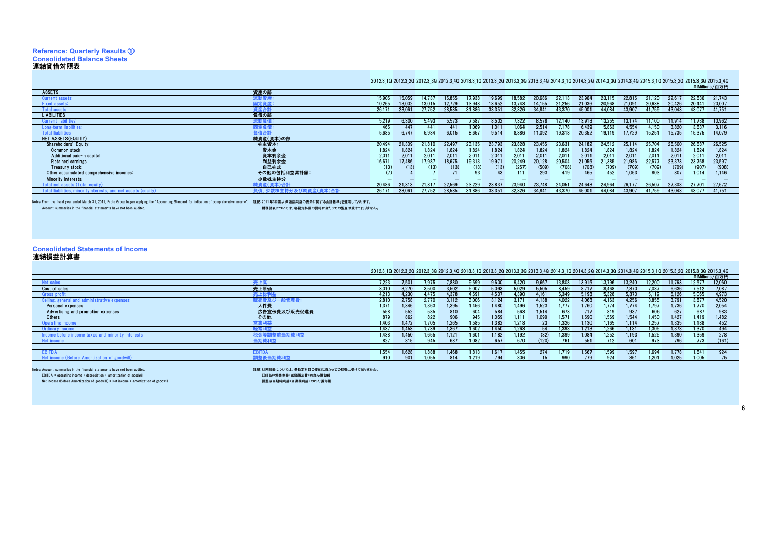# **Reference: Quarterly Results** ① **Consolidated Balance Sheets**

連結貸借対照表 As of March 31 / 3月31日現在

#### 2012.3\_1Q 2012.3\_2Q 2012.3\_3Q 2012.3\_4Q 2013.3\_1Q 2013.3\_2Q 2013.3\_3Q 2013.3\_4Q 2014.3\_1Q 2014.3\_2Q 2014.3\_3Q 2014.3\_4Q 2015.3\_1Q 2015.3\_2Q 2015.3\_3Q 2015.3\_4Q

|                                          |              |        |        |        |        |        |        |        |        |        |                   |        |        |        |        |        | ¥Millions/百万円 |
|------------------------------------------|--------------|--------|--------|--------|--------|--------|--------|--------|--------|--------|-------------------|--------|--------|--------|--------|--------|---------------|
| <b>ASSETS</b>                            | 資産の部         |        |        |        |        |        |        |        |        |        |                   |        |        |        |        |        |               |
| Current assets                           | #動資産:        | 15.905 | 15.050 |        | 15.855 | 7 Q.R  |        | 18.58  |        |        |                   |        |        |        |        | 22.636 | 21,743        |
| <b>Fixed assets:</b>                     | <b>司定資産:</b> | 10,265 | 13.002 |        | 2.72   |        |        | 13 74: |        |        |                   |        |        |        | 20.426 | 20.441 | 20,007        |
| <b>Total assets</b>                      | 6産合計         | 26.171 | 28.061 | 27.752 | 28.585 | 31,886 | 33.35  | 32.326 |        | 43.37  | 45.00             | 44.08  | 43.90  | 41.759 | 43.043 | 43.077 | 41.751        |
| <b>LIABILITIES</b>                       | 負債の部         |        |        |        |        |        |        |        |        |        |                   |        |        |        |        |        |               |
| <b>Current liabilities</b>               | を動負く         | 5.219  | 6.300  | 5493   | 5.573  | 7587   | 8.502  | ' 322  | 3578   | 12.140 | 13913             | 13.255 | 13.174 | 11100  | 11.914 | 11.738 | 10.962        |
| Long-term liabilities:                   | <b>国定負化</b>  | 465    |        |        |        | .069   | .01    | .06    | /51/   | 178    | 6 439             | 5.863  | 1.554  | 150    | 3.820  | 3.637  | 3.116         |
| <b>Total liabilities</b>                 |              | 5.685  | 6.747  | 5.934  | 6.015  | 8.657  | 9.514  | 8.386  |        | 9.31   | 20.352            | 19119  | 17.729 | 15.25  | 15.735 | 15.375 | 14.079        |
| NET ASSETS(EQUITY)                       | 純資産(資本)の部    |        |        |        |        |        |        |        |        |        |                   |        |        |        |        |        |               |
| Shareholders' Equity:                    | 株主資本:        | 20.494 | 21.309 | 21.810 | 22.49  | 23.135 | 23.79  | 23.828 | 23.455 | 23.63  | 24.182            | 24.51  |        | 25.704 |        | 26,687 | 26,525        |
| <b>Common stock</b>                      | 資本金          | 1,824  | 1.824  | 1.824  | 1,824  | 1,824  | 1,824  | 1,824  | 1.824  | 1,824  | 1.824             | 1.824  | 1.824  | 1.824  | 1.824  | 1.824  | 1.824         |
| Additional paid-in capital               | 資本剰余金        | 2,011  | 2.011  | 2.011  | 2,011  | 2.011  | 2,011  | 2.011  | 2.011  | 2,011  | 2.011             | 2.011  | 2,011  | 2.011  | 2,011  | 2.011  | 2,011         |
| <b>Retained earnings</b>                 | 利益剰余金        | 16,671 | 17.486 | 17.987 | 18,675 | 19.313 | 19.971 | 20,249 | 20.128 | 20,504 | 21.055            | 21.385 | 21,986 | 22.57  | 23.373 | 23.758 | 23,597        |
| Treasury stock                           | 自己株式         | (13)   | (13)   | (13)   | (13)   | (13)   | (13)   | (257)  | (509)  | (708)  | (708)             | (709)  | (709)  | (709)  | (709)  | (907)  | (908)         |
| Other accumulated comprehensive incomes: | その他の包括利益累計額: |        |        |        |        |        |        |        | 293    |        | 465               | 452    | 1.063  | 803    | 807    | 1.014  | 1,146         |
| <b>Minority interests</b>                | 少数株主持分       |        |        |        |        |        |        |        |        |        |                   |        |        |        |        |        |               |
|                                          | 吨資産(資本)合     | 20.486 | 21.313 | 21.81  | 22.56  | 23.229 | 23.83  | 23.94  | 23 748 | 24.05  | 24.648            | 24.96  | 26.17  | 26.50° | 27.308 | 27.701 | 27,672        |
| $and not non-0$                          |              | 26.171 | 28,06  | 27.752 | 28.585 | 31,886 |        | 32,32  |        | 43,37  | 45,0 <sup>7</sup> | 44 08  | 43,90  |        | 43,043 | 43,07  | 41.751        |
|                                          |              |        |        |        |        |        |        |        |        |        |                   |        |        |        |        |        |               |

Notes: From the fiscal year ended March 31, 2011, Proto Group began applying the "Accounting Standard for indication of comprehensive income". 注記:2011年3月期より包括為利益の表示に関する会計基準」を適用しておりませ<br>Account summaries in the financial st

Account summaries in the financial statements have not been audited. 財務諸表については、各勘定科目の要約に当たっての監査は受けておりません。

## **Consolidated Statements of Income** 連結損益計算書

| 連結損益計算書                                                    |              |                                                                                                                                                                                                                                 |                  |       |            |      |       |       |       |       |         |        |       |               |                  |        |               |
|------------------------------------------------------------|--------------|---------------------------------------------------------------------------------------------------------------------------------------------------------------------------------------------------------------------------------|------------------|-------|------------|------|-------|-------|-------|-------|---------|--------|-------|---------------|------------------|--------|---------------|
|                                                            |              |                                                                                                                                                                                                                                 |                  |       |            |      |       |       |       |       |         |        |       |               |                  |        |               |
|                                                            |              | 2012.3 10 2012.3 20 2012.3 30 2012.3 40 2013.3 10 2013.3 20 2013.3 30 2013.3 40 2014.3 10 2014.3 20 2014.3 30 2014.3 40 2015.3 10 2015.3 20 2015.3 30 2015.3 30 2015.3 30 2015.3 30 2015.3 30 2015.3 30 2015.3 30 2015.3 30 201 |                  |       |            |      |       |       |       |       |         |        |       |               |                  |        |               |
|                                                            |              |                                                                                                                                                                                                                                 |                  |       |            |      |       |       |       |       |         |        |       |               |                  |        | ¥Millions/百万円 |
| Net sales                                                  |              | 7.223                                                                                                                                                                                                                           | .50 <sub>1</sub> |       |            | 1599 | 9.60  | 1420  | 9.667 | 13.80 | 13.91   | 13.796 |       |               |                  | 12.577 | 12,060        |
| Cost of sales                                              | 売上原価         | 3.010                                                                                                                                                                                                                           |                  |       | <b>.50</b> |      | ng:   |       |       | 3 45C |         | 468    |       |               | 6.636            |        | 7.087         |
| Gross profi                                                |              | 4.213                                                                                                                                                                                                                           | 4.23C            | 4.475 | 4.37       | 4591 | 1.507 | 1.390 | - 161 | 5.349 | 5198    | 5.328  | 537   |               | 5126             | 5.065  | 4.973         |
| Selling, general and administrativ<br>nistrative expenses: |              | 2.810                                                                                                                                                                                                                           | , 758            | .770  | 3112       |      | 3124  | 3.171 | .138  | .022  | 4.068   | .163   | 4.25  | 3.855         | 3.791            | 3.877  | 4.520         |
| Personal expenses                                          | 人件費          | 1.371                                                                                                                                                                                                                           | 1.346            | .363  | 1.395      | .456 | .480  | .496  | 1.523 | .777  |         | .774   | . 114 | .797          | .736             | .770   | 2.054         |
| Advertising and promotion expenses                         | 広告宣伝費及び販売促進費 | 558                                                                                                                                                                                                                             | 552              | 585   | 810        | 604  | 584   | 563   | 1.514 | 673   |         | 819    | 937   | 606           | 627              | 687    | 983           |
| Others                                                     | その他          | 879                                                                                                                                                                                                                             | 862              | 822   | 906        | 945  | 1.059 | 1.111 | 1.099 | 1.571 | 1.590   | .569   | 1.544 | .450          | 1.427            | 1.419  | 1,482         |
| Operating income                                           | 業利益          | 1.403                                                                                                                                                                                                                           | 1 47:            | .705  | 26!        | 585  | .382  | 1.218 |       | .326  |         | 165    |       | 257           | 1.335            | 1.188  | 452           |
| Ordinary income                                            | 《巻曲法         | 1.437                                                                                                                                                                                                                           | 458              | .739  | 1.367      | 602  | .450  | 1.263 |       | .398  | 1 2 1 3 | .266   | 131   | 305           | 1.378            | 1.370  | 494           |
| minoritv interests<br>hefore i<br>ncome<br>aexet emong     |              | 1.438                                                                                                                                                                                                                           | 450              | .655  |            |      | 18    | .192  | (32). | .399  |         | .252   | 193   |               | .39 <sub>0</sub> | .359   | 278           |
| Net income                                                 |              | 827                                                                                                                                                                                                                             | 815              | 945   | 687        | 082  | 657   | 670   | 120)  | 761   | 551     | 712    | 601   | 973           | 796              | 773    | (161)         |
|                                                            |              |                                                                                                                                                                                                                                 |                  |       |            |      |       |       |       |       |         |        |       |               |                  |        |               |
| <b>FBITD</b>                                               |              | 1.554                                                                                                                                                                                                                           | 1.628            | .888  | .468       | .813 | 1.617 | .455  |       | .719  | 1.56    | .599   | 1.597 | .694          | .778             | 1.641  | 924           |
| income (Before A.<br>of goodwi                             |              | 910                                                                                                                                                                                                                             | 901              | .055  | 814        | .219 | 794   | 806   |       | 990   |         | 924    | 861   | $.20^{\circ}$ | 1.025            | .005   | 75            |
|                                                            |              |                                                                                                                                                                                                                                 |                  |       |            |      |       |       |       |       |         |        |       |               |                  |        |               |

Notes: Account summaries in the financial statements have not been audited.

注記:財務諸表については、各勘定科目の要約に当たっての監査は受けておりません。<br>-<br>- EBITDA=営業利益・減価償却費+のれん償却額 EBITDA = operating income + depreciation + amortization of goodwill<br>Net income (Before Amortization of goodwill) = Net income + amortization of goodwill - CDITDA= 点来刊畫・展開員型員 『シスレル員型<del>版</del><br>調整後当期純利益=当期純利益+のれん償却額